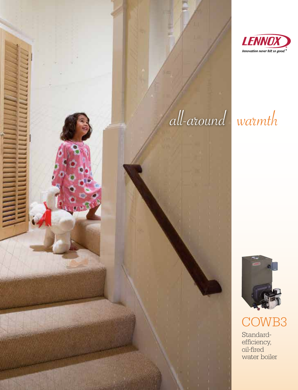

# all-around warmth



## Standardefficiency, oil-fired COWB3

water boiler